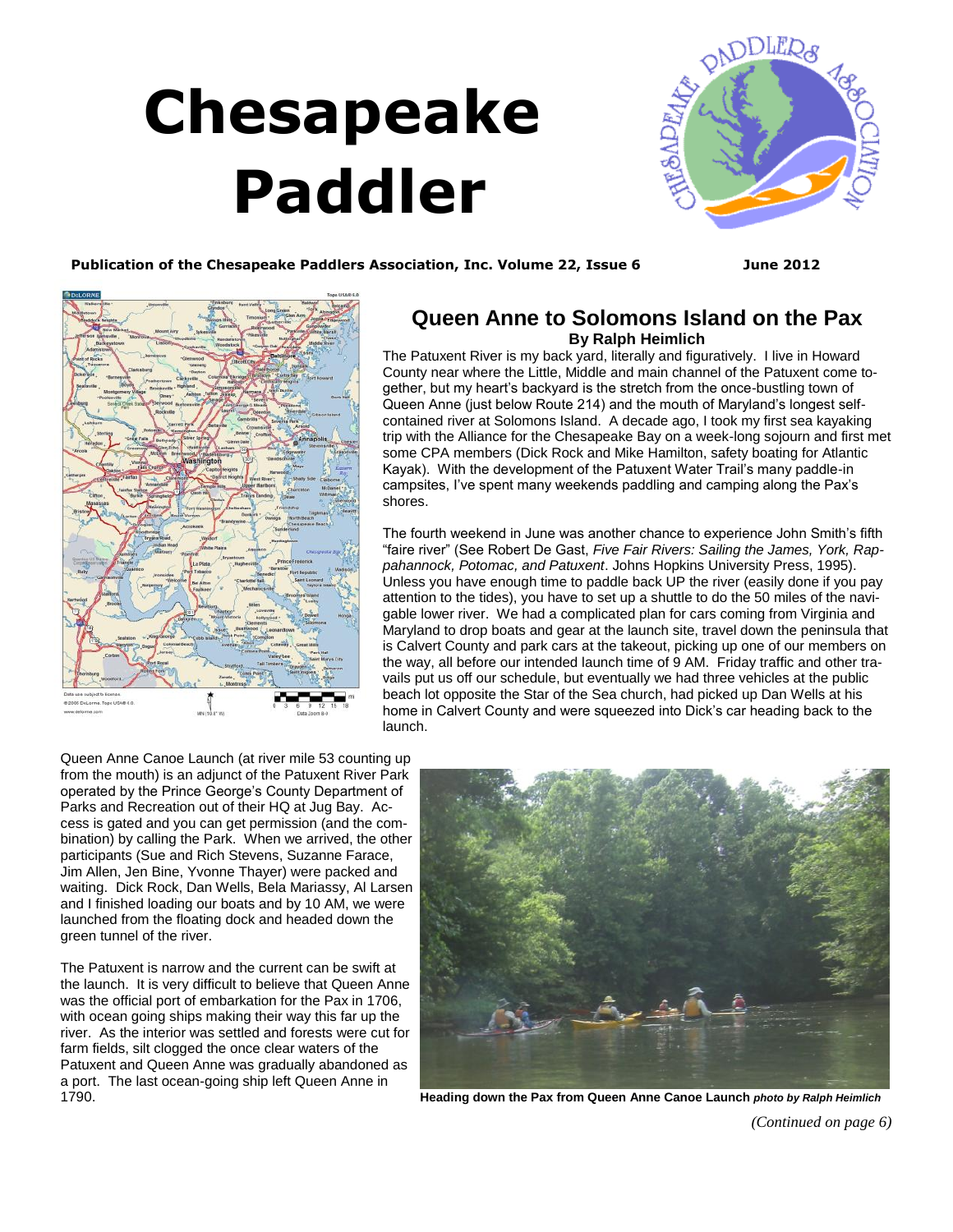# **Chesapeake Paddler**

<span id="page-0-0"></span>

Publication of the Chesapeake Paddlers Association, Inc. Volume 22, Issue 6 June 2012



# **Queen Anne to Solomons Island on the Pax By Ralph Heimlich**

The Patuxent River is my back yard, literally and figuratively. I live in Howard County near where the Little, Middle and main channel of the Patuxent come together, but my heart's backyard is the stretch from the once-bustling town of Queen Anne (just below Route 214) and the mouth of Maryland's longest selfcontained river at Solomons Island. A decade ago, I took my first sea kayaking trip with the Alliance for the Chesapeake Bay on a week-long sojourn and first met some CPA members (Dick Rock and Mike Hamilton, safety boating for Atlantic Kayak). With the development of the Patuxent Water Trail's many paddle-in campsites, I've spent many weekends paddling and camping along the Pax's shores.

The fourth weekend in June was another chance to experience John Smith's fifth "faire river" (See Robert De Gast, *Five Fair Rivers: Sailing the James, York, Rappahannock, Potomac, and Patuxent*. Johns Hopkins University Press, 1995). Unless you have enough time to paddle back UP the river (easily done if you pay attention to the tides), you have to set up a shuttle to do the 50 miles of the navigable lower river. We had a complicated plan for cars coming from Virginia and Maryland to drop boats and gear at the launch site, travel down the peninsula that is Calvert County and park cars at the takeout, picking up one of our members on the way, all before our intended launch time of 9 AM. Friday traffic and other travails put us off our schedule, but eventually we had three vehicles at the public beach lot opposite the Star of the Sea church, had picked up Dan Wells at his home in Calvert County and were squeezed into Dick's car heading back to the launch.

Queen Anne Canoe Launch (at river mile 53 counting up from the mouth) is an adjunct of the Patuxent River Park operated by the Prince George's County Department of Parks and Recreation out of their HQ at Jug Bay. Access is gated and you can get permission (and the combination) by calling the Park. When we arrived, the other participants (Sue and Rich Stevens, Suzanne Farace, Jim Allen, Jen Bine, Yvonne Thayer) were packed and waiting. Dick Rock, Dan Wells, Bela Mariassy, Al Larsen and I finished loading our boats and by 10 AM, we were launched from the floating dock and headed down the green tunnel of the river.

The Patuxent is narrow and the current can be swift at the launch. It is very difficult to believe that Queen Anne was the official port of embarkation for the Pax in 1706, with ocean going ships making their way this far up the river. As the interior was settled and forests were cut for farm fields, silt clogged the once clear waters of the Patuxent and Queen Anne was gradually abandoned as a port. The last ocean-going ship left Queen Anne in 1790.



**Heading down the Pax from Queen Anne Canoe Launch** *photo by Ralph Heimlich*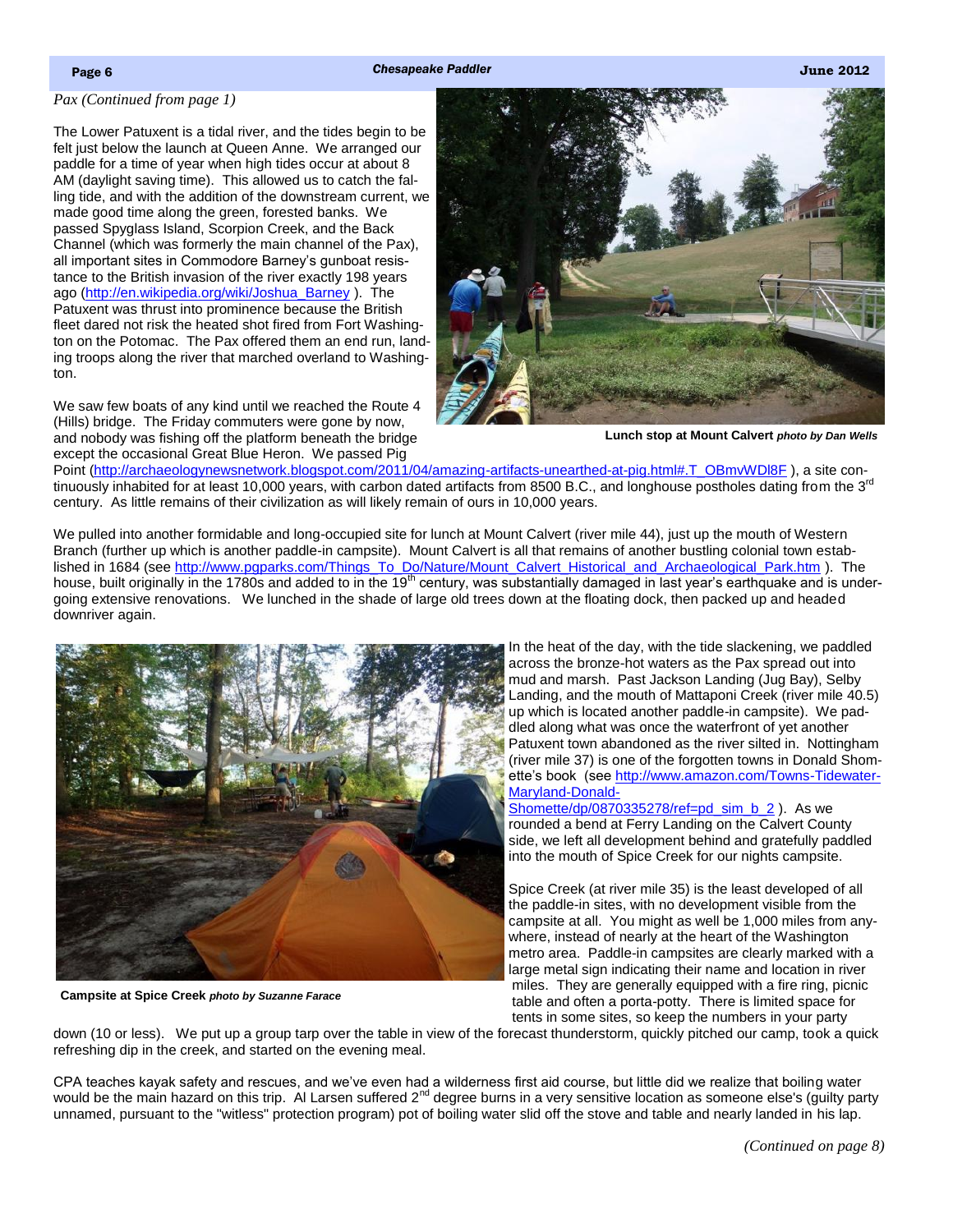## <span id="page-1-0"></span>*[Pax \(Continued from page 1\)](#page-0-0)*

The Lower Patuxent is a tidal river, and the tides begin to be felt just below the launch at Queen Anne. We arranged our paddle for a time of year when high tides occur at about 8 AM (daylight saving time). This allowed us to catch the falling tide, and with the addition of the downstream current, we made good time along the green, forested banks. We passed Spyglass Island, Scorpion Creek, and the Back Channel (which was formerly the main channel of the Pax), all important sites in Commodore Barney's gunboat resistance to the British invasion of the river exactly 198 years ago ([http://en.wikipedia.org/wiki/Joshua\\_Barney](http://en.wikipedia.org/wiki/Joshua_Barney) ). The Patuxent was thrust into prominence because the British fleet dared not risk the heated shot fired from Fort Washington on the Potomac. The Pax offered them an end run, landing troops along the river that marched overland to Washington.

We saw few boats of any kind until we reached the Route 4 (Hills) bridge. The Friday commuters were gone by now, and nobody was fishing off the platform beneath the bridge except the occasional Great Blue Heron. We passed Pig



**Lunch stop at Mount Calvert** *photo by Dan Wells*

Point [\(http://archaeologynewsnetwork.blogspot.com/2011/04/amazing-artifacts-unearthed-at-pig.html#.T\\_OBmvWDl8F](http://archaeologynewsnetwork.blogspot.com/2011/04/amazing-artifacts-unearthed-at-pig.html#.T_OBmvWDl8F) ), a site continuously inhabited for at least 10,000 years, with carbon dated artifacts from 8500 B.C., and longhouse postholes dating from the 3<sup>rd</sup> century. As little remains of their civilization as will likely remain of ours in 10,000 years.

We pulled into another formidable and long-occupied site for lunch at Mount Calvert (river mile 44), just up the mouth of Western Branch (further up which is another paddle-in campsite). Mount Calvert is all that remains of another bustling colonial town established in 1684 (see [http://www.pgparks.com/Things\\_To\\_Do/Nature/Mount\\_Calvert\\_Historical\\_and\\_Archaeological\\_Park.htm](http://www.pgparks.com/Things_To_Do/Nature/Mount_Calvert_Historical_and_Archaeological_Park.htm) ). The house, built originally in the 1780s and added to in the 19<sup>th</sup> century, was substantially damaged in last year's earthquake and is undergoing extensive renovations. We lunched in the shade of large old trees down at the floating dock, then packed up and headed downriver again.



**Campsite at Spice Creek** *photo by Suzanne Farace*

In the heat of the day, with the tide slackening, we paddled across the bronze-hot waters as the Pax spread out into mud and marsh. Past Jackson Landing (Jug Bay), Selby Landing, and the mouth of Mattaponi Creek (river mile 40.5) up which is located another paddle-in campsite). We paddled along what was once the waterfront of yet another Patuxent town abandoned as the river silted in. Nottingham (river mile 37) is one of the forgotten towns in Donald Shomette's book (see [http://www.amazon.com/Towns-Tidewater-](http://www.amazon.com/Towns-Tidewater-Maryland-Donald-Shomette/dp/0870335278/ref=pd_sim_b_2)[Maryland-Donald-](http://www.amazon.com/Towns-Tidewater-Maryland-Donald-Shomette/dp/0870335278/ref=pd_sim_b_2)

[Shomette/dp/0870335278/ref=pd\\_sim\\_b\\_2](http://www.amazon.com/Towns-Tidewater-Maryland-Donald-Shomette/dp/0870335278/ref=pd_sim_b_2) ). As we rounded a bend at Ferry Landing on the Calvert County side, we left all development behind and gratefully paddled into the mouth of Spice Creek for our nights campsite.

Spice Creek (at river mile 35) is the least developed of all the paddle-in sites, with no development visible from the campsite at all. You might as well be 1,000 miles from anywhere, instead of nearly at the heart of the Washington metro area. Paddle-in campsites are clearly marked with a large metal sign indicating their name and location in river miles. They are generally equipped with a fire ring, picnic table and often a porta-potty. There is limited space for tents in some sites, so keep the numbers in your party

down (10 or less). We put up a group tarp over the table in view of the forecast thunderstorm, quickly pitched our camp, took a quick refreshing dip in the creek, and started on the evening meal.

CPA teaches kayak safety and rescues, and we've even had a wilderness first aid course, but little did we realize that boiling water would be the main hazard on this trip. Al Larsen suffered  $2^{nd}$  degree burns in a very sensitive location as someone else's (quilty party unnamed, pursuant to the "witless" protection program) pot of boiling water slid off the stove and table and nearly landed in his lap.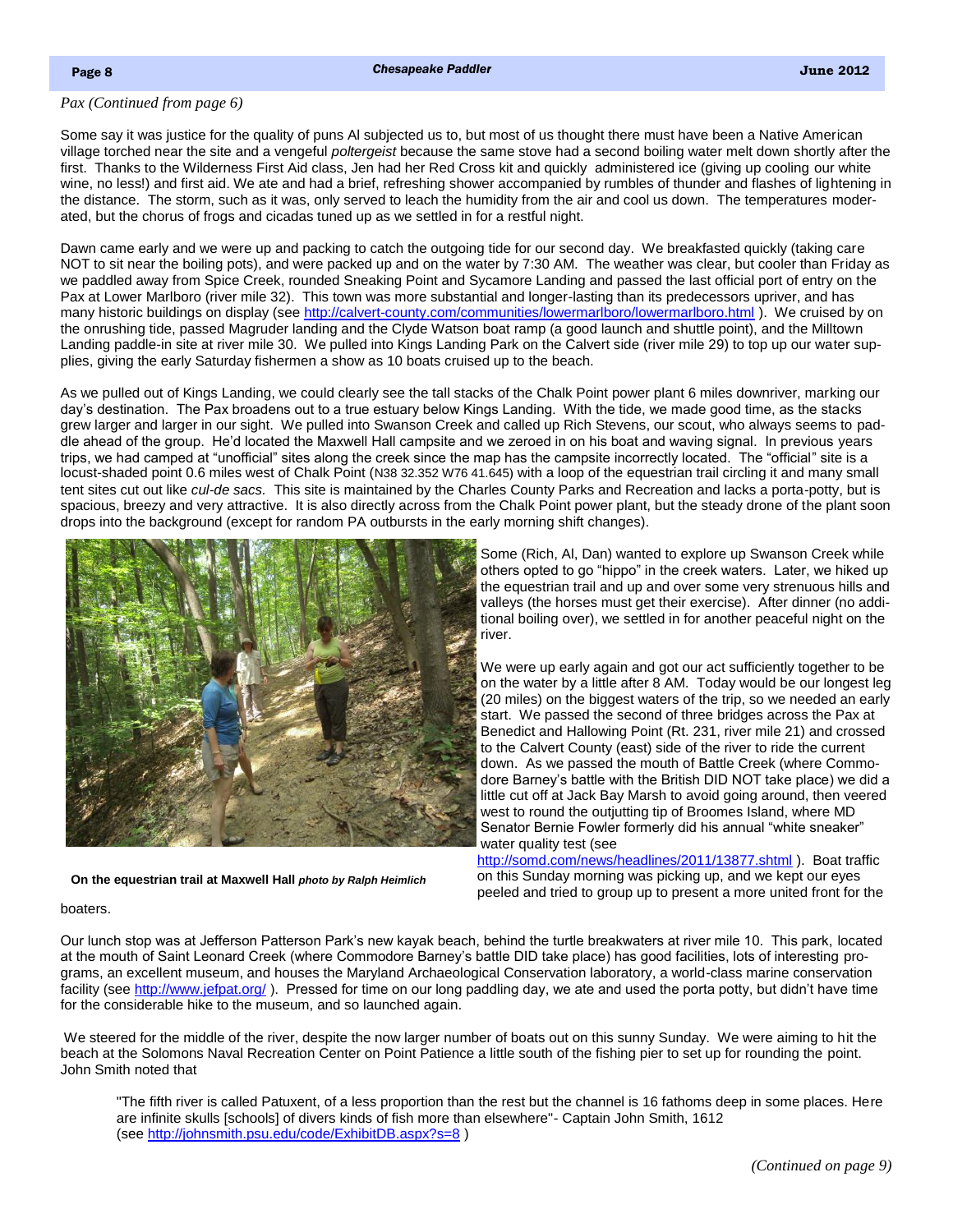# <span id="page-2-0"></span>*[Pax \(Continued from page 6\)](#page-1-0)*

Some say it was justice for the quality of puns Al subjected us to, but most of us thought there must have been a Native American village torched near the site and a vengeful *poltergeist* because the same stove had a second boiling water melt down shortly after the first. Thanks to the Wilderness First Aid class, Jen had her Red Cross kit and quickly administered ice (giving up cooling our white wine, no less!) and first aid. We ate and had a brief, refreshing shower accompanied by rumbles of thunder and flashes of lightening in the distance. The storm, such as it was, only served to leach the humidity from the air and cool us down. The temperatures moderated, but the chorus of frogs and cicadas tuned up as we settled in for a restful night.

Dawn came early and we were up and packing to catch the outgoing tide for our second day. We breakfasted quickly (taking care NOT to sit near the boiling pots), and were packed up and on the water by 7:30 AM. The weather was clear, but cooler than Friday as we paddled away from Spice Creek, rounded Sneaking Point and Sycamore Landing and passed the last official port of entry on the Pax at Lower Marlboro (river mile 32). This town was more substantial and longer-lasting than its predecessors upriver, and has many historic buildings on display (see <http://calvert-county.com/communities/lowermarlboro/lowermarlboro.html>). We cruised by on the onrushing tide, passed Magruder landing and the Clyde Watson boat ramp (a good launch and shuttle point), and the Milltown Landing paddle-in site at river mile 30. We pulled into Kings Landing Park on the Calvert side (river mile 29) to top up our water supplies, giving the early Saturday fishermen a show as 10 boats cruised up to the beach.

As we pulled out of Kings Landing, we could clearly see the tall stacks of the Chalk Point power plant 6 miles downriver, marking our day's destination. The Pax broadens out to a true estuary below Kings Landing. With the tide, we made good time, as the stacks grew larger and larger in our sight. We pulled into Swanson Creek and called up Rich Stevens, our scout, who always seems to paddle ahead of the group. He'd located the Maxwell Hall campsite and we zeroed in on his boat and waving signal. In previous years trips, we had camped at "unofficial" sites along the creek since the map has the campsite incorrectly located. The "official" site is a locust-shaded point 0.6 miles west of Chalk Point (N38 32.352 W76 41.645) with a loop of the equestrian trail circling it and many small tent sites cut out like *cul-de sacs.* This site is maintained by the Charles County Parks and Recreation and lacks a porta-potty, but is spacious, breezy and very attractive. It is also directly across from the Chalk Point power plant, but the steady drone of the plant soon drops into the background (except for random PA outbursts in the early morning shift changes).



**On the equestrian trail at Maxwell Hall** *photo by Ralph Heimlich*

Some (Rich, Al, Dan) wanted to explore up Swanson Creek while others opted to go "hippo" in the creek waters. Later, we hiked up the equestrian trail and up and over some very strenuous hills and valleys (the horses must get their exercise). After dinner (no additional boiling over), we settled in for another peaceful night on the river.

We were up early again and got our act sufficiently together to be on the water by a little after 8 AM. Today would be our longest leg (20 miles) on the biggest waters of the trip, so we needed an early start. We passed the second of three bridges across the Pax at Benedict and Hallowing Point (Rt. 231, river mile 21) and crossed to the Calvert County (east) side of the river to ride the current down. As we passed the mouth of Battle Creek (where Commodore Barney's battle with the British DID NOT take place) we did a little cut off at Jack Bay Marsh to avoid going around, then veered west to round the outjutting tip of Broomes Island, where MD Senator Bernie Fowler formerly did his annual "white sneaker" water quality test (see

<http://somd.com/news/headlines/2011/13877.shtml> ). Boat traffic on this Sunday morning was picking up, and we kept our eyes peeled and tried to group up to present a more united front for the

#### boaters.

Our lunch stop was at Jefferson Patterson Park's new kayak beach, behind the turtle breakwaters at river mile 10. This park, located at the mouth of Saint Leonard Creek (where Commodore Barney's battle DID take place) has good facilities, lots of interesting programs, an excellent museum, and houses the Maryland Archaeological Conservation laboratory, a world-class marine conservation facility (see <http://www.jefpat.org/>). Pressed for time on our long paddling day, we ate and used the porta potty, but didn't have time for the considerable hike to the museum, and so launched again.

We steered for the middle of the river, despite the now larger number of boats out on this sunny Sunday. We were aiming to hit the beach at the Solomons Naval Recreation Center on Point Patience a little south of the fishing pier to set up for rounding the point. John Smith noted that

"The fifth river is called Patuxent, of a less proportion than the rest but the channel is 16 fathoms deep in some places. Here are infinite skulls [schools] of divers kinds of fish more than elsewhere"- Captain John Smith, 1612 (see<http://johnsmith.psu.edu/code/ExhibitDB.aspx?s=8> )